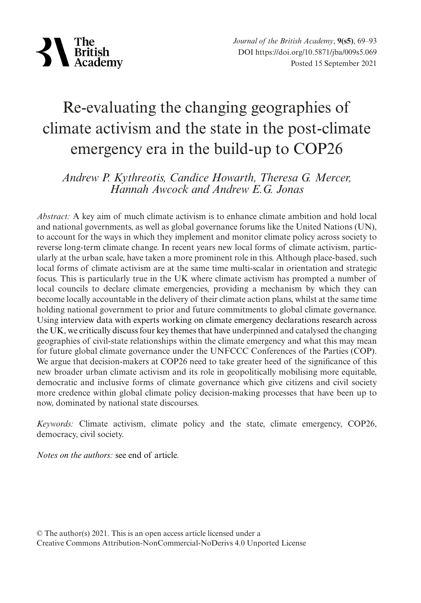

# Re-evaluating the changing geographies of climate activism and the state in the post-climate emergency era in the build-up to COP26

## *Andrew P. Kythreotis, Candice Howarth, Theresa G. Mercer, Hannah Awcock and Andrew E.G. Jonas*

*Abstract:* A key aim of much climate activism is to enhance climate ambition and hold local and national governments, as well as global governance forums like the United Nations (UN), to account for the ways in which they implement and monitor climate policy across society to reverse long-term climate change. In recent years new local forms of climate activism, particularly at the urban scale, have taken a more prominent role in this. Although place-based, such local forms of climate activism are at the same time multi-scalar in orientation and strategic focus. This is particularly true in the UK where climate activism has prompted a number of local councils to declare climate emergencies, providing a mechanism by which they can become locally accountable in the delivery of their climate action plans, whilst at the same time holding national government to prior and future commitments to global climate governance. Using interview data with experts working on climate emergency declarations research across the UK, we critically discuss four key themes that have underpinned and catalysed the changing geographies of civil-state relationships within the climate emergency and what this may mean for future global climate governance under the UNFCCC Conferences of the Parties (COP). We argue that decision-makers at COP26 need to take greater heed of the significance of this new broader urban climate activism and its role in geopolitically mobilising more equitable, democratic and inclusive forms of climate governance which give citizens and civil society more credence within global climate policy decision-making processes that have been up to now, dominated by national state discourses.

*Keywords:* Climate activism, climate policy and the state, climate emergency, COP26, democracy, civil society.

*Notes on the authors:* see end of article.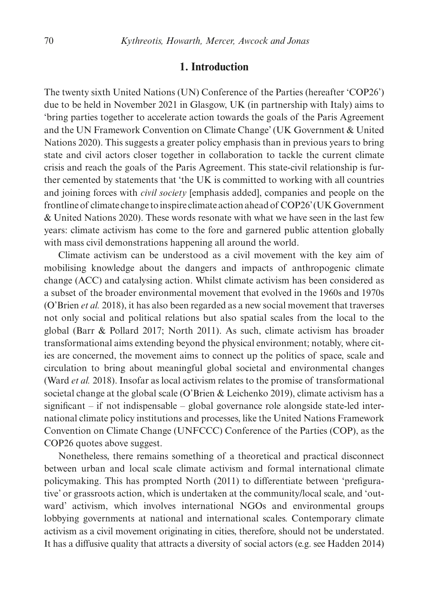## **1. Introduction**

The twenty sixth United Nations (UN) Conference of the Parties (hereafter 'COP26') due to be held in November 2021 in Glasgow, UK (in partnership with Italy) aims to 'bring parties together to accelerate action towards the goals of the Paris Agreement and the UN Framework Convention on Climate Change' (UK Government & United Nations 2020). This suggests a greater policy emphasis than in previous years to bring state and civil actors closer together in collaboration to tackle the current climate crisis and reach the goals of the Paris Agreement. This state-civil relationship is further cemented by statements that 'the UK is committed to working with all countries and joining forces with *civil society* [emphasis added], companies and people on the frontline of climate change to inspire climate action ahead of COP26' (UK Government & United Nations 2020). These words resonate with what we have seen in the last few years: climate activism has come to the fore and garnered public attention globally with mass civil demonstrations happening all around the world.

Climate activism can be understood as a civil movement with the key aim of mobilising knowledge about the dangers and impacts of anthropogenic climate change (ACC) and catalysing action. Whilst climate activism has been considered as a subset of the broader environmental movement that evolved in the 1960s and 1970s (O'Brien *et al.* 2018), it has also been regarded as a new social movement that traverses not only social and political relations but also spatial scales from the local to the global (Barr & Pollard 2017; North 2011). As such, climate activism has broader transformational aims extending beyond the physical environment; notably, where cities are concerned, the movement aims to connect up the politics of space, scale and circulation to bring about meaningful global societal and environmental changes (Ward *et al.* 2018). Insofar as local activism relates to the promise of transformational societal change at the global scale (O'Brien & Leichenko 2019), climate activism has a significant – if not indispensable – global governance role alongside state-led international climate policy institutions and processes, like the United Nations Framework Convention on Climate Change (UNFCCC) Conference of the Parties (COP), as the COP26 quotes above suggest.

Nonetheless, there remains something of a theoretical and practical disconnect between urban and local scale climate activism and formal international climate policymaking. This has prompted North (2011) to differentiate between 'prefigurative' or grassroots action, which is undertaken at the community/local scale, and 'outward' activism, which involves international NGOs and environmental groups lobbying governments at national and international scales. Contemporary climate activism as a civil movement originating in cities, therefore, should not be understated. It has a diffusive quality that attracts a diversity of social actors (e.g. see Hadden 2014)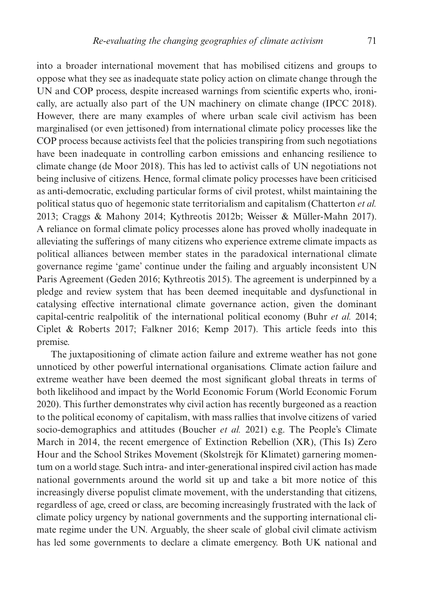into a broader international movement that has mobilised citizens and groups to oppose what they see as inadequate state policy action on climate change through the UN and COP process, despite increased warnings from scientific experts who, ironically, are actually also part of the UN machinery on climate change (IPCC 2018). However, there are many examples of where urban scale civil activism has been marginalised (or even jettisoned) from international climate policy processes like the COP process because activists feel that the policies transpiring from such negotiations have been inadequate in controlling carbon emissions and enhancing resilience to climate change (de Moor 2018). This has led to activist calls of UN negotiations not being inclusive of citizens. Hence, formal climate policy processes have been criticised as anti-democratic, excluding particular forms of civil protest, whilst maintaining the political status quo of hegemonic state territorialism and capitalism (Chatterton *et al.* 2013; Craggs & Mahony 2014; Kythreotis 2012b; Weisser & Müller-Mahn 2017). A reliance on formal climate policy processes alone has proved wholly inadequate in alleviating the sufferings of many citizens who experience extreme climate impacts as political alliances between member states in the paradoxical international climate governance regime 'game' continue under the failing and arguably inconsistent UN Paris Agreement (Geden 2016; Kythreotis 2015). The agreement is underpinned by a pledge and review system that has been deemed inequitable and dysfunctional in catalysing effective international climate governance action, given the dominant capital-centric realpolitik of the international political economy (Buhr *et al.* 2014; Ciplet & Roberts 2017; Falkner 2016; Kemp 2017). This article feeds into this premise.

The juxtapositioning of climate action failure and extreme weather has not gone unnoticed by other powerful international organisations. Climate action failure and extreme weather have been deemed the most significant global threats in terms of both likelihood and impact by the World Economic Forum (World Economic Forum 2020). This further demonstrates why civil action has recently burgeoned as a reaction to the political economy of capitalism, with mass rallies that involve citizens of varied socio-demographics and attitudes (Boucher *et al.* 2021) e.g. The People's Climate March in 2014, the recent emergence of Extinction Rebellion (XR), (This Is) Zero Hour and the School Strikes Movement (Skolstrejk för Klimatet) garnering momentum on a world stage. Such intra- and inter-generational inspired civil action has made national governments around the world sit up and take a bit more notice of this increasingly diverse populist climate movement, with the understanding that citizens, regardless of age, creed or class, are becoming increasingly frustrated with the lack of climate policy urgency by national governments and the supporting international climate regime under the UN. Arguably, the sheer scale of global civil climate activism has led some governments to declare a climate emergency. Both UK national and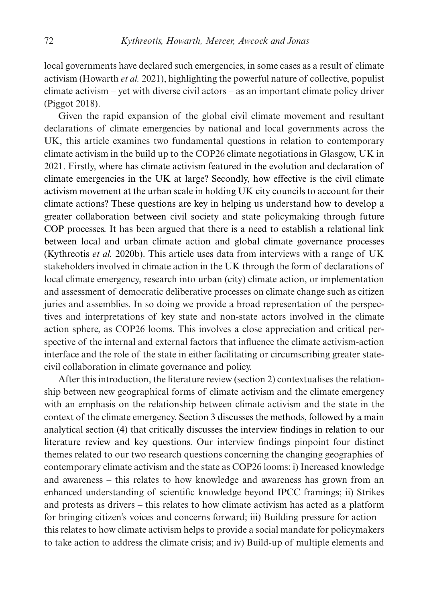local governments have declared such emergencies, in some cases as a result of climate activism (Howarth *et al.* 2021), highlighting the powerful nature of collective, populist climate activism – yet with diverse civil actors – as an important climate policy driver (Piggot 2018).

Given the rapid expansion of the global civil climate movement and resultant declarations of climate emergencies by national and local governments across the UK, this article examines two fundamental questions in relation to contemporary climate activism in the build up to the COP26 climate negotiations in Glasgow, UK in 2021. Firstly, where has climate activism featured in the evolution and declaration of climate emergencies in the UK at large? Secondly, how effective is the civil climate activism movement at the urban scale in holding UK city councils to account for their climate actions? These questions are key in helping us understand how to develop a greater collaboration between civil society and state policymaking through future COP processes. It has been argued that there is a need to establish a relational link between local and urban climate action and global climate governance processes (Kythreotis *et al.* 2020b). This article uses data from interviews with a range of UK stakeholders involved in climate action in the UK through the form of declarations of local climate emergency, research into urban (city) climate action, or implementation and assessment of democratic deliberative processes on climate change such as citizen juries and assemblies. In so doing we provide a broad representation of the perspectives and interpretations of key state and non-state actors involved in the climate action sphere, as COP26 looms. This involves a close appreciation and critical perspective of the internal and external factors that influence the climate activism-action interface and the role of the state in either facilitating or circumscribing greater statecivil collaboration in climate governance and policy.

After this introduction, the literature review (section 2) contextualises the relationship between new geographical forms of climate activism and the climate emergency with an emphasis on the relationship between climate activism and the state in the context of the climate emergency. Section 3 discusses the methods, followed by a main analytical section (4) that critically discusses the interview findings in relation to our literature review and key questions. Our interview findings pinpoint four distinct themes related to our two research questions concerning the changing geographies of contemporary climate activism and the state as COP26 looms: i) Increased knowledge and awareness – this relates to how knowledge and awareness has grown from an enhanced understanding of scientific knowledge beyond IPCC framings; ii) Strikes and protests as drivers – this relates to how climate activism has acted as a platform for bringing citizen's voices and concerns forward; iii) Building pressure for action – this relates to how climate activism helps to provide a social mandate for policymakers to take action to address the climate crisis; and iv) Build-up of multiple elements and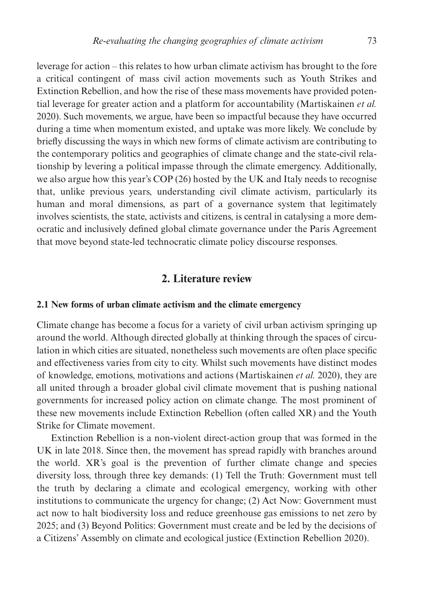leverage for action – this relates to how urban climate activism has brought to the fore a critical contingent of mass civil action movements such as Youth Strikes and Extinction Rebellion, and how the rise of these mass movements have provided potential leverage for greater action and a platform for accountability (Martiskainen *et al.* 2020). Such movements, we argue, have been so impactful because they have occurred during a time when momentum existed, and uptake was more likely. We conclude by briefly discussing the ways in which new forms of climate activism are contributing to the contemporary politics and geographies of climate change and the state-civil relationship by levering a political impasse through the climate emergency. Additionally, we also argue how this year's COP (26) hosted by the UK and Italy needs to recognise that, unlike previous years, understanding civil climate activism, particularly its human and moral dimensions, as part of a governance system that legitimately involves scientists, the state, activists and citizens, is central in catalysing a more democratic and inclusively defined global climate governance under the Paris Agreement that move beyond state-led technocratic climate policy discourse responses.

### **2. Literature review**

#### **2.1 New forms of urban climate activism and the climate emergency**

Climate change has become a focus for a variety of civil urban activism springing up around the world. Although directed globally at thinking through the spaces of circulation in which cities are situated, nonetheless such movements are often place specific and effectiveness varies from city to city. Whilst such movements have distinct modes of knowledge, emotions, motivations and actions (Martiskainen *et al.* 2020), they are all united through a broader global civil climate movement that is pushing national governments for increased policy action on climate change. The most prominent of these new movements include Extinction Rebellion (often called XR) and the Youth Strike for Climate movement.

Extinction Rebellion is a non-violent direct-action group that was formed in the UK in late 2018. Since then, the movement has spread rapidly with branches around the world. XR's goal is the prevention of further climate change and species diversity loss, through three key demands: (1) Tell the Truth: Government must tell the truth by declaring a climate and ecological emergency, working with other institutions to communicate the urgency for change; (2) Act Now: Government must act now to halt biodiversity loss and reduce greenhouse gas emissions to net zero by 2025; and (3) Beyond Politics: Government must create and be led by the decisions of a Citizens' Assembly on climate and ecological justice (Extinction Rebellion 2020).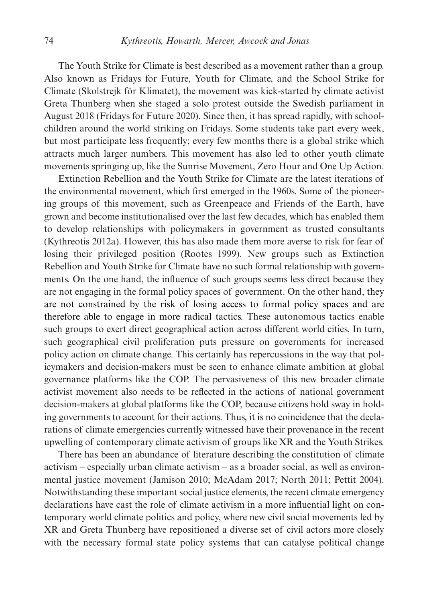The Youth Strike for Climate is best described as a movement rather than a group. Also known as Fridays for Future, Youth for Climate, and the School Strike for Climate (Skolstrejk för Klimatet), the movement was kick-started by climate activist Greta Thunberg when she staged a solo protest outside the Swedish parliament in August 2018 (Fridays for Future 2020). Since then, it has spread rapidly, with schoolchildren around the world striking on Fridays. Some students take part every week, but most participate less frequently; every few months there is a global strike which attracts much larger numbers. This movement has also led to other youth climate movements springing up, like the Sunrise Movement, Zero Hour and One Up Action.

Extinction Rebellion and the Youth Strike for Climate are the latest iterations of the environmental movement, which first emerged in the 1960s. Some of the pioneering groups of this movement, such as Greenpeace and Friends of the Earth, have grown and become institutionalised over the last few decades, which has enabled them to develop relationships with policymakers in government as trusted consultants (Kythreotis 2012a). However, this has also made them more averse to risk for fear of losing their privileged position (Rootes 1999). New groups such as Extinction Rebellion and Youth Strike for Climate have no such formal relationship with governments. On the one hand, the influence of such groups seems less direct because they are not engaging in the formal policy spaces of government. On the other hand, they are not constrained by the risk of losing access to formal policy spaces and are therefore able to engage in more radical tactics. These autonomous tactics enable such groups to exert direct geographical action across different world cities. In turn, such geographical civil proliferation puts pressure on governments for increased policy action on climate change. This certainly has repercussions in the way that policymakers and decision-makers must be seen to enhance climate ambition at global governance platforms like the COP. The pervasiveness of this new broader climate activist movement also needs to be reflected in the actions of national government decision-makers at global platforms like the COP, because citizens hold sway in holding governments to account for their actions. Thus, it is no coincidence that the declarations of climate emergencies currently witnessed have their provenance in the recent upwelling of contemporary climate activism of groups like XR and the Youth Strikes.

There has been an abundance of literature describing the constitution of climate activism – especially urban climate activism – as a broader social, as well as environmental justice movement (Jamison 2010; McAdam 2017; North 2011; Pettit 2004). Notwithstanding these important social justice elements, the recent climate emergency declarations have cast the role of climate activism in a more influential light on contemporary world climate politics and policy, where new civil social movements led by XR and Greta Thunberg have repositioned a diverse set of civil actors more closely with the necessary formal state policy systems that can catalyse political change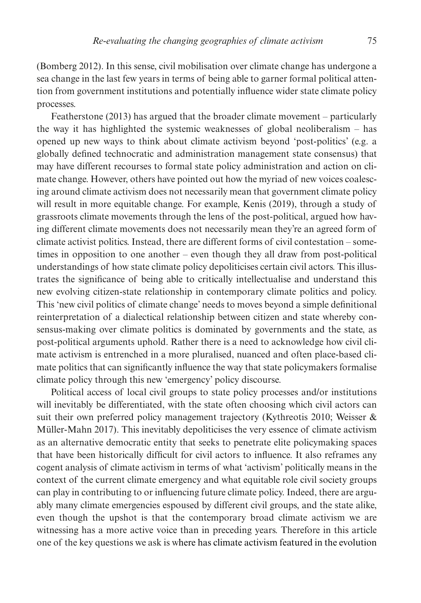(Bomberg 2012). In this sense, civil mobilisation over climate change has undergone a sea change in the last few years in terms of being able to garner formal political attention from government institutions and potentially influence wider state climate policy processes.

Featherstone (2013) has argued that the broader climate movement – particularly the way it has highlighted the systemic weaknesses of global neoliberalism – has opened up new ways to think about climate activism beyond 'post-politics' (e.g. a globally defined technocratic and administration management state consensus) that may have different recourses to formal state policy administration and action on climate change. However, others have pointed out how the myriad of new voices coalescing around climate activism does not necessarily mean that government climate policy will result in more equitable change. For example, Kenis (2019), through a study of grassroots climate movements through the lens of the post-political, argued how having different climate movements does not necessarily mean they're an agreed form of climate activist politics. Instead, there are different forms of civil contestation – sometimes in opposition to one another – even though they all draw from post-political understandings of how state climate policy depoliticises certain civil actors. This illustrates the significance of being able to critically intellectualise and understand this new evolving citizen-state relationship in contemporary climate politics and policy. This 'new civil politics of climate change' needs to moves beyond a simple definitional reinterpretation of a dialectical relationship between citizen and state whereby consensus-making over climate politics is dominated by governments and the state, as post-political arguments uphold. Rather there is a need to acknowledge how civil climate activism is entrenched in a more pluralised, nuanced and often place-based climate politics that can significantly influence the way that state policymakers formalise climate policy through this new 'emergency' policy discourse.

Political access of local civil groups to state policy processes and/or institutions will inevitably be differentiated, with the state often choosing which civil actors can suit their own preferred policy management trajectory (Kythreotis 2010; Weisser & Müller-Mahn 2017). This inevitably depoliticises the very essence of climate activism as an alternative democratic entity that seeks to penetrate elite policymaking spaces that have been historically difficult for civil actors to influence. It also reframes any cogent analysis of climate activism in terms of what 'activism' politically means in the context of the current climate emergency and what equitable role civil society groups can play in contributing to or influencing future climate policy. Indeed, there are arguably many climate emergencies espoused by different civil groups, and the state alike, even though the upshot is that the contemporary broad climate activism we are witnessing has a more active voice than in preceding years. Therefore in this article one of the key questions we ask is where has climate activism featured in the evolution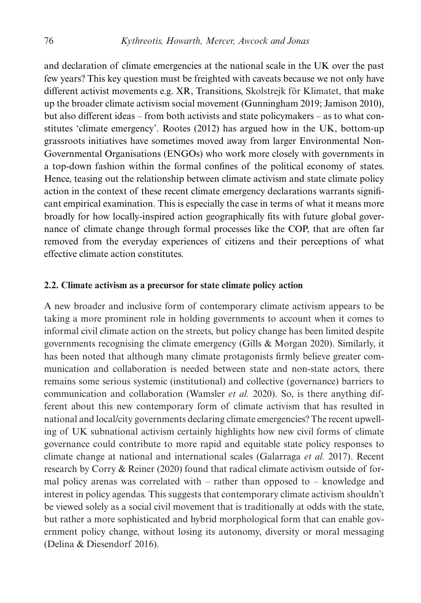and declaration of climate emergencies at the national scale in the UK over the past few years? This key question must be freighted with caveats because we not only have different activist movements e.g. XR, Transitions, Skolstrejk för Klimatet, that make up the broader climate activism social movement (Gunningham 2019; Jamison 2010), but also different ideas – from both activists and state policymakers – as to what constitutes 'climate emergency'. Rootes (2012) has argued how in the UK, bottom-up grassroots initiatives have sometimes moved away from larger Environmental Non-Governmental Organisations (ENGOs) who work more closely with governments in a top-down fashion within the formal confines of the political economy of states. Hence, teasing out the relationship between climate activism and state climate policy action in the context of these recent climate emergency declarations warrants significant empirical examination. This is especially the case in terms of what it means more broadly for how locally-inspired action geographically fits with future global governance of climate change through formal processes like the COP, that are often far removed from the everyday experiences of citizens and their perceptions of what effective climate action constitutes.

#### **2.2. Climate activism as a precursor for state climate policy action**

A new broader and inclusive form of contemporary climate activism appears to be taking a more prominent role in holding governments to account when it comes to informal civil climate action on the streets, but policy change has been limited despite governments recognising the climate emergency (Gills & Morgan 2020). Similarly, it has been noted that although many climate protagonists firmly believe greater communication and collaboration is needed between state and non-state actors, there remains some serious systemic (institutional) and collective (governance) barriers to communication and collaboration (Wamsler *et al.* 2020). So, is there anything different about this new contemporary form of climate activism that has resulted in national and local/city governments declaring climate emergencies? The recent upwelling of UK subnational activism certainly highlights how new civil forms of climate governance could contribute to more rapid and equitable state policy responses to climate change at national and international scales (Galarraga *et al.* 2017). Recent research by Corry & Reiner (2020) found that radical climate activism outside of formal policy arenas was correlated with – rather than opposed to – knowledge and interest in policy agendas. This suggests that contemporary climate activism shouldn't be viewed solely as a social civil movement that is traditionally at odds with the state, but rather a more sophisticated and hybrid morphological form that can enable government policy change, without losing its autonomy, diversity or moral messaging (Delina & Diesendorf 2016).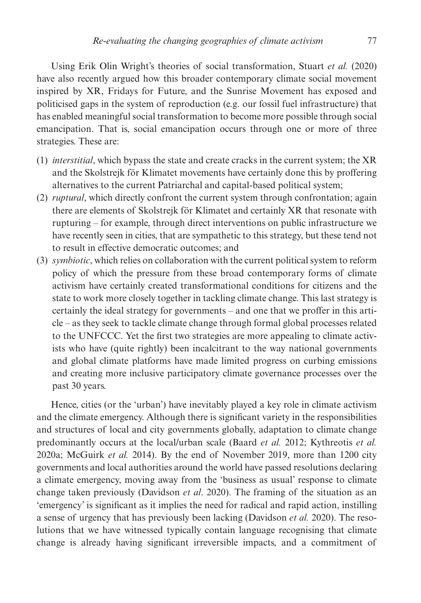Using Erik Olin Wright's theories of social transformation, Stuart *et al.* (2020) have also recently argued how this broader contemporary climate social movement inspired by XR, Fridays for Future, and the Sunrise Movement has exposed and politicised gaps in the system of reproduction (e.g. our fossil fuel infrastructure) that has enabled meaningful social transformation to become more possible through social emancipation. That is, social emancipation occurs through one or more of three strategies. These are:

- (1) *interstitial*, which bypass the state and create cracks in the current system; the XR and the Skolstrejk för Klimatet movements have certainly done this by proffering alternatives to the current Patriarchal and capital-based political system;
- (2) *ruptural*, which directly confront the current system through confrontation; again there are elements of Skolstrejk för Klimatet and certainly XR that resonate with rupturing – for example, through direct interventions on public infrastructure we have recently seen in cities, that are sympathetic to this strategy, but these tend not to result in effective democratic outcomes; and
- (3) *symbiotic*, which relies on collaboration with the current political system to reform policy of which the pressure from these broad contemporary forms of climate activism have certainly created transformational conditions for citizens and the state to work more closely together in tackling climate change. This last strategy is certainly the ideal strategy for governments – and one that we proffer in this article – as they seek to tackle climate change through formal global processes related to the UNFCCC. Yet the first two strategies are more appealing to climate activists who have (quite rightly) been incalcitrant to the way national governments and global climate platforms have made limited progress on curbing emissions and creating more inclusive participatory climate governance processes over the past 30 years.

Hence, cities (or the 'urban') have inevitably played a key role in climate activism and the climate emergency. Although there is significant variety in the responsibilities and structures of local and city governments globally, adaptation to climate change predominantly occurs at the local/urban scale (Baard *et al.* 2012; Kythreotis *et al.* 2020a; McGuirk *et al.* 2014). By the end of November 2019, more than 1200 city governments and local authorities around the world have passed resolutions declaring a climate emergency, moving away from the 'business as usual' response to climate change taken previously (Davidson *et al*. 2020). The framing of the situation as an 'emergency' is significant as it implies the need for radical and rapid action, instilling a sense of urgency that has previously been lacking (Davidson *et al.* 2020). The resolutions that we have witnessed typically contain language recognising that climate change is already having significant irreversible impacts, and a commitment of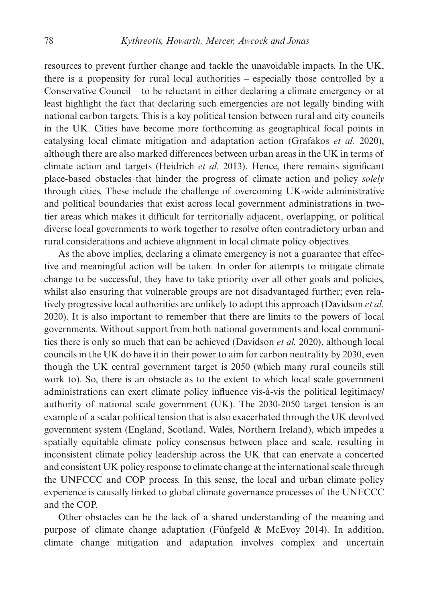resources to prevent further change and tackle the unavoidable impacts. In the UK, there is a propensity for rural local authorities – especially those controlled by a Conservative Council – to be reluctant in either declaring a climate emergency or at least highlight the fact that declaring such emergencies are not legally binding with national carbon targets. This is a key political tension between rural and city councils in the UK. Cities have become more forthcoming as geographical focal points in catalysing local climate mitigation and adaptation action (Grafakos *et al.* 2020), although there are also marked differences between urban areas in the UK in terms of climate action and targets (Heidrich *et al.* 2013). Hence, there remains significant place-based obstacles that hinder the progress of climate action and policy *solely* through cities. These include the challenge of overcoming UK-wide administrative and political boundaries that exist across local government administrations in twotier areas which makes it difficult for territorially adjacent, overlapping, or political diverse local governments to work together to resolve often contradictory urban and rural considerations and achieve alignment in local climate policy objectives.

As the above implies, declaring a climate emergency is not a guarantee that effective and meaningful action will be taken. In order for attempts to mitigate climate change to be successful, they have to take priority over all other goals and policies, whilst also ensuring that vulnerable groups are not disadvantaged further; even relatively progressive local authorities are unlikely to adopt this approach (Davidson *et al.* 2020). It is also important to remember that there are limits to the powers of local governments. Without support from both national governments and local communities there is only so much that can be achieved (Davidson *et al.* 2020), although local councils in the UK do have it in their power to aim for carbon neutrality by 2030, even though the UK central government target is 2050 (which many rural councils still work to). So, there is an obstacle as to the extent to which local scale government administrations can exert climate policy influence vis-à-vis the political legitimacy/ authority of national scale government (UK). The 2030-2050 target tension is an example of a scalar political tension that is also exacerbated through the UK devolved government system (England, Scotland, Wales, Northern Ireland), which impedes a spatially equitable climate policy consensus between place and scale, resulting in inconsistent climate policy leadership across the UK that can enervate a concerted and consistent UK policy response to climate change at the international scale through the UNFCCC and COP process. In this sense, the local and urban climate policy experience is causally linked to global climate governance processes of the UNFCCC and the COP.

Other obstacles can be the lack of a shared understanding of the meaning and purpose of climate change adaptation (Fünfgeld & McEvoy 2014). In addition, climate change mitigation and adaptation involves complex and uncertain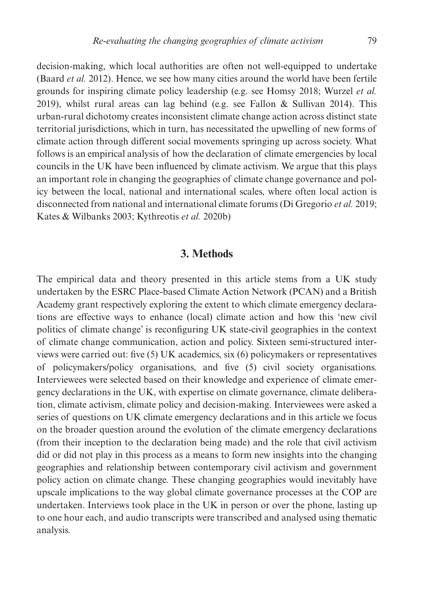decision-making, which local authorities are often not well-equipped to undertake (Baard *et al.* 2012). Hence, we see how many cities around the world have been fertile grounds for inspiring climate policy leadership (e.g. see Homsy 2018; Wurzel *et al.* 2019), whilst rural areas can lag behind (e.g. see Fallon & Sullivan 2014). This urban-rural dichotomy creates inconsistent climate change action across distinct state territorial jurisdictions, which in turn, has necessitated the upwelling of new forms of climate action through different social movements springing up across society. What follows is an empirical analysis of how the declaration of climate emergencies by local councils in the UK have been influenced by climate activism. We argue that this plays an important role in changing the geographies of climate change governance and policy between the local, national and international scales, where often local action is disconnected from national and international climate forums (Di Gregorio *et al.* 2019; Kates & Wilbanks 2003; Kythreotis *et al.* 2020b)

#### **3. Methods**

The empirical data and theory presented in this article stems from a UK study undertaken by the ESRC Place-based Climate Action Network (PCAN) and a British Academy grant respectively exploring the extent to which climate emergency declarations are effective ways to enhance (local) climate action and how this 'new civil politics of climate change' is reconfiguring UK state-civil geographies in the context of climate change communication, action and policy. Sixteen semi-structured interviews were carried out: five (5) UK academics, six (6) policymakers or representatives of policymakers/policy organisations, and five (5) civil society organisations. Interviewees were selected based on their knowledge and experience of climate emergency declarations in the UK, with expertise on climate governance, climate deliberation, climate activism, climate policy and decision-making. Interviewees were asked a series of questions on UK climate emergency declarations and in this article we focus on the broader question around the evolution of the climate emergency declarations (from their inception to the declaration being made) and the role that civil activism did or did not play in this process as a means to form new insights into the changing geographies and relationship between contemporary civil activism and government policy action on climate change. These changing geographies would inevitably have upscale implications to the way global climate governance processes at the COP are undertaken. Interviews took place in the UK in person or over the phone, lasting up to one hour each, and audio transcripts were transcribed and analysed using thematic analysis.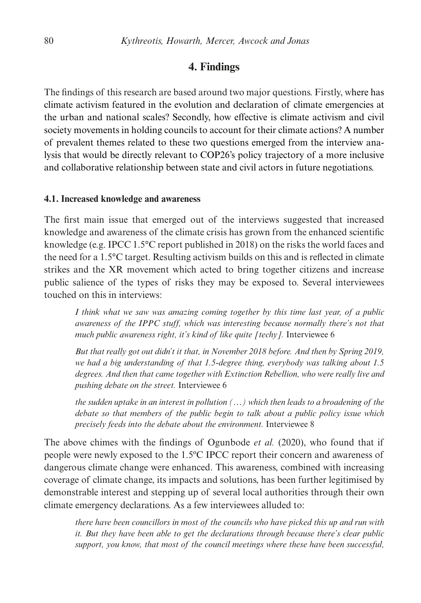## **4. Findings**

The findings of this research are based around two major questions. Firstly, where has climate activism featured in the evolution and declaration of climate emergencies at the urban and national scales? Secondly, how effective is climate activism and civil society movements in holding councils to account for their climate actions? A number of prevalent themes related to these two questions emerged from the interview analysis that would be directly relevant to COP26's policy trajectory of a more inclusive and collaborative relationship between state and civil actors in future negotiations.

#### **4.1. Increased knowledge and awareness**

The first main issue that emerged out of the interviews suggested that increased knowledge and awareness of the climate crisis has grown from the enhanced scientific knowledge (e.g. IPCC 1.5°C report published in 2018) on the risks the world faces and the need for a 1.5°C target. Resulting activism builds on this and is reflected in climate strikes and the XR movement which acted to bring together citizens and increase public salience of the types of risks they may be exposed to. Several interviewees touched on this in interviews:

*I think what we saw was amazing coming together by this time last year, of a public awareness of the IPPC stuff, which was interesting because normally there's not that much public awareness right, it's kind of like quite [techy].* Interviewee 6

*But that really got out didn't it that, in November 2018 before. And then by Spring 2019, we had a big understanding of that 1.5-degree thing, everybody was talking about 1.5 degrees. And then that came together with Extinction Rebellion, who were really live and pushing debate on the street.* Interviewee 6

*the sudden uptake in an interest in pollution (…) which then leads to a broadening of the debate so that members of the public begin to talk about a public policy issue which precisely feeds into the debate about the environment.* Interviewee 8

The above chimes with the findings of Ogunbode *et al.* (2020), who found that if people were newly exposed to the 1.5ºC IPCC report their concern and awareness of dangerous climate change were enhanced. This awareness, combined with increasing coverage of climate change, its impacts and solutions, has been further legitimised by demonstrable interest and stepping up of several local authorities through their own climate emergency declarations. As a few interviewees alluded to:

*there have been councillors in most of the councils who have picked this up and run with it. But they have been able to get the declarations through because there's clear public support, you know, that most of the council meetings where these have been successful,*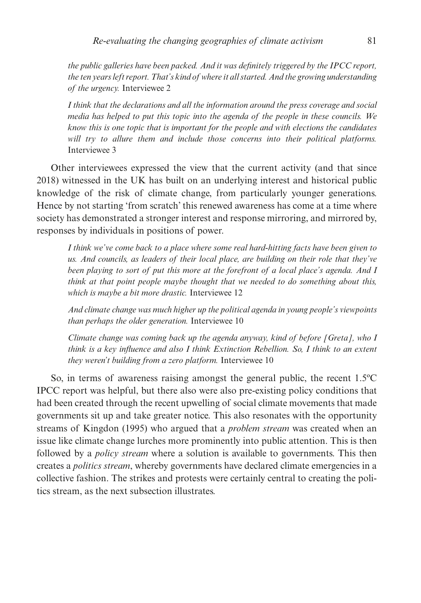*the public galleries have been packed. And it was definitely triggered by the IPCC report, the ten years left report. That's kind of where it all started. And the growing understanding of the urgency.* Interviewee 2

*I think that the declarations and all the information around the press coverage and social media has helped to put this topic into the agenda of the people in these councils. We know this is one topic that is important for the people and with elections the candidates will try to allure them and include those concerns into their political platforms.* Interviewee 3

Other interviewees expressed the view that the current activity (and that since 2018) witnessed in the UK has built on an underlying interest and historical public knowledge of the risk of climate change, from particularly younger generations. Hence by not starting 'from scratch' this renewed awareness has come at a time where society has demonstrated a stronger interest and response mirroring, and mirrored by, responses by individuals in positions of power.

*I think we've come back to a place where some real hard-hitting facts have been given to us. And councils, as leaders of their local place, are building on their role that they've been playing to sort of put this more at the forefront of a local place's agenda. And I think at that point people maybe thought that we needed to do something about this, which is maybe a bit more drastic.* Interviewee 12

*And climate change was much higher up the political agenda in young people's viewpoints than perhaps the older generation.* Interviewee 10

*Climate change was coming back up the agenda anyway, kind of before [Greta], who I think is a key influence and also I think Extinction Rebellion. So, I think to an extent they weren't building from a zero platform.* Interviewee 10

So, in terms of awareness raising amongst the general public, the recent 1.5ºC IPCC report was helpful, but there also were also pre-existing policy conditions that had been created through the recent upwelling of social climate movements that made governments sit up and take greater notice. This also resonates with the opportunity streams of Kingdon (1995) who argued that a *problem stream* was created when an issue like climate change lurches more prominently into public attention. This is then followed by a *policy stream* where a solution is available to governments. This then creates a *politics stream*, whereby governments have declared climate emergencies in a collective fashion. The strikes and protests were certainly central to creating the politics stream, as the next subsection illustrates.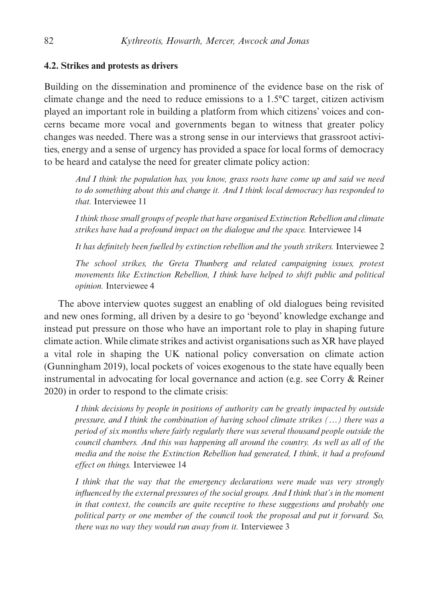#### **4.2. Strikes and protests as drivers**

Building on the dissemination and prominence of the evidence base on the risk of climate change and the need to reduce emissions to a 1.5°C target, citizen activism played an important role in building a platform from which citizens' voices and concerns became more vocal and governments began to witness that greater policy changes was needed. There was a strong sense in our interviews that grassroot activities, energy and a sense of urgency has provided a space for local forms of democracy to be heard and catalyse the need for greater climate policy action:

*And I think the population has, you know, grass roots have come up and said we need to do something about this and change it. And I think local democracy has responded to that.* Interviewee 11

*I think those small groups of people that have organised Extinction Rebellion and climate strikes have had a profound impact on the dialogue and the space.* Interviewee 14

*It has definitely been fuelled by extinction rebellion and the youth strikers.* Interviewee 2

*The school strikes, the Greta Thunberg and related campaigning issues, protest movements like Extinction Rebellion, I think have helped to shift public and political opinion.* Interviewee 4

The above interview quotes suggest an enabling of old dialogues being revisited and new ones forming, all driven by a desire to go 'beyond' knowledge exchange and instead put pressure on those who have an important role to play in shaping future climate action. While climate strikes and activist organisations such as XR have played a vital role in shaping the UK national policy conversation on climate action (Gunningham 2019), local pockets of voices exogenous to the state have equally been instrumental in advocating for local governance and action (e.g. see Corry & Reiner 2020) in order to respond to the climate crisis:

*I think decisions by people in positions of authority can be greatly impacted by outside pressure, and I think the combination of having school climate strikes (…) there was a period of six months where fairly regularly there was several thousand people outside the council chambers. And this was happening all around the country. As well as all of the media and the noise the Extinction Rebellion had generated, I think, it had a profound effect on things.* Interviewee 14

*I think that the way that the emergency declarations were made was very strongly influenced by the external pressures of the social groups. And I think that's in the moment in that context, the councils are quite receptive to these suggestions and probably one political party or one member of the council took the proposal and put it forward. So, there was no way they would run away from it.* Interviewee 3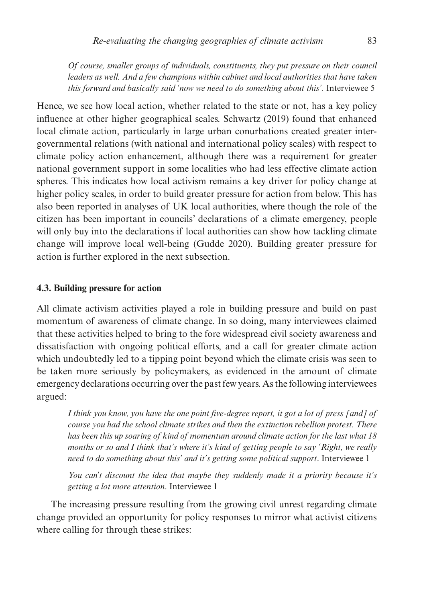*Of course, smaller groups of individuals, constituents, they put pressure on their council leaders as well. And a few champions within cabinet and local authorities that have taken this forward and basically said 'now we need to do something about this'.* Interviewee 5

Hence, we see how local action, whether related to the state or not, has a key policy influence at other higher geographical scales. Schwartz (2019) found that enhanced local climate action, particularly in large urban conurbations created greater intergovernmental relations (with national and international policy scales) with respect to climate policy action enhancement, although there was a requirement for greater national government support in some localities who had less effective climate action spheres. This indicates how local activism remains a key driver for policy change at higher policy scales, in order to build greater pressure for action from below. This has also been reported in analyses of UK local authorities, where though the role of the citizen has been important in councils' declarations of a climate emergency, people will only buy into the declarations if local authorities can show how tackling climate change will improve local well-being (Gudde 2020). Building greater pressure for action is further explored in the next subsection.

#### **4.3. Building pressure for action**

All climate activism activities played a role in building pressure and build on past momentum of awareness of climate change. In so doing, many interviewees claimed that these activities helped to bring to the fore widespread civil society awareness and dissatisfaction with ongoing political efforts, and a call for greater climate action which undoubtedly led to a tipping point beyond which the climate crisis was seen to be taken more seriously by policymakers, as evidenced in the amount of climate emergency declarations occurring over the past few years. As the following interviewees argued:

*I think you know, you have the one point five-degree report, it got a lot of press [and] of course you had the school climate strikes and then the extinction rebellion protest. There has been this up soaring of kind of momentum around climate action for the last what 18 months or so and I think that's where it's kind of getting people to say 'Right, we really need to do something about this' and it's getting some political support*. Interviewee 1

*You can't discount the idea that maybe they suddenly made it a priority because it's getting a lot more attention*. Interviewee 1

The increasing pressure resulting from the growing civil unrest regarding climate change provided an opportunity for policy responses to mirror what activist citizens where calling for through these strikes: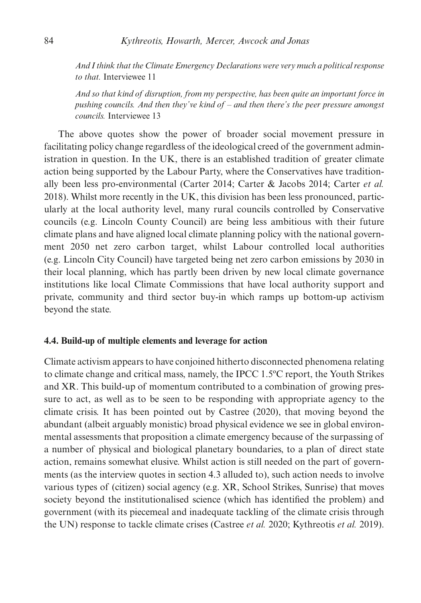*And I think that the Climate Emergency Declarations were very much a political response to that.* Interviewee 11

*And so that kind of disruption, from my perspective, has been quite an important force in pushing councils. And then they've kind of – and then there's the peer pressure amongst councils.* Interviewee 13

The above quotes show the power of broader social movement pressure in facilitating policy change regardless of the ideological creed of the government administration in question. In the UK, there is an established tradition of greater climate action being supported by the Labour Party, where the Conservatives have traditionally been less pro-environmental (Carter 2014; Carter & Jacobs 2014; Carter *et al.* 2018). Whilst more recently in the UK, this division has been less pronounced, particularly at the local authority level, many rural councils controlled by Conservative councils (e.g. Lincoln County Council) are being less ambitious with their future climate plans and have aligned local climate planning policy with the national government 2050 net zero carbon target, whilst Labour controlled local authorities (e.g. Lincoln City Council) have targeted being net zero carbon emissions by 2030 in their local planning, which has partly been driven by new local climate governance institutions like local Climate Commissions that have local authority support and private, community and third sector buy-in which ramps up bottom-up activism beyond the state.

#### **4.4. Build-up of multiple elements and leverage for action**

Climate activism appears to have conjoined hitherto disconnected phenomena relating to climate change and critical mass, namely, the IPCC 1.5ºC report, the Youth Strikes and XR. This build-up of momentum contributed to a combination of growing pressure to act, as well as to be seen to be responding with appropriate agency to the climate crisis. It has been pointed out by Castree (2020), that moving beyond the abundant (albeit arguably monistic) broad physical evidence we see in global environmental assessments that proposition a climate emergency because of the surpassing of a number of physical and biological planetary boundaries, to a plan of direct state action, remains somewhat elusive. Whilst action is still needed on the part of governments (as the interview quotes in section 4.3 alluded to), such action needs to involve various types of (citizen) social agency (e.g. XR, School Strikes, Sunrise) that moves society beyond the institutionalised science (which has identified the problem) and government (with its piecemeal and inadequate tackling of the climate crisis through the UN) response to tackle climate crises (Castree *et al.* 2020; Kythreotis *et al.* 2019).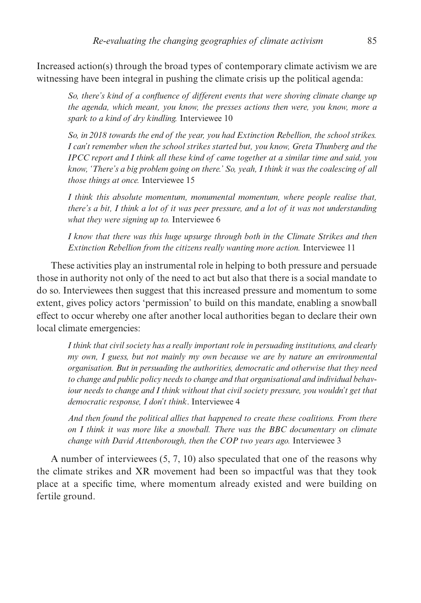Increased action(s) through the broad types of contemporary climate activism we are witnessing have been integral in pushing the climate crisis up the political agenda:

*So, there's kind of a confluence of different events that were shoving climate change up the agenda, which meant, you know, the presses actions then were, you know, more a spark to a kind of dry kindling.* Interviewee 10

*So, in 2018 towards the end of the year, you had Extinction Rebellion, the school strikes. I can't remember when the school strikes started but, you know, Greta Thunberg and the IPCC report and I think all these kind of came together at a similar time and said, you know, 'There's a big problem going on there.' So, yeah, I think it was the coalescing of all those things at once.* Interviewee 15

*I think this absolute momentum, monumental momentum, where people realise that, there's a bit, I think a lot of it was peer pressure, and a lot of it was not understanding what they were signing up to.* Interviewee 6

*I know that there was this huge upsurge through both in the Climate Strikes and then Extinction Rebellion from the citizens really wanting more action.* Interviewee 11

These activities play an instrumental role in helping to both pressure and persuade those in authority not only of the need to act but also that there is a social mandate to do so. Interviewees then suggest that this increased pressure and momentum to some extent, gives policy actors 'permission' to build on this mandate, enabling a snowball effect to occur whereby one after another local authorities began to declare their own local climate emergencies:

*I think that civil society has a really important role in persuading institutions, and clearly my own, I guess, but not mainly my own because we are by nature an environmental organisation. But in persuading the authorities, democratic and otherwise that they need to change and public policy needs to change and that organisational and individual behaviour needs to change and I think without that civil society pressure, you wouldn't get that democratic response, I don't think*. Interviewee 4

*And then found the political allies that happened to create these coalitions. From there on I think it was more like a snowball. There was the BBC documentary on climate change with David Attenborough, then the COP two years ago.* Interviewee 3

A number of interviewees (5, 7, 10) also speculated that one of the reasons why the climate strikes and XR movement had been so impactful was that they took place at a specific time, where momentum already existed and were building on fertile ground.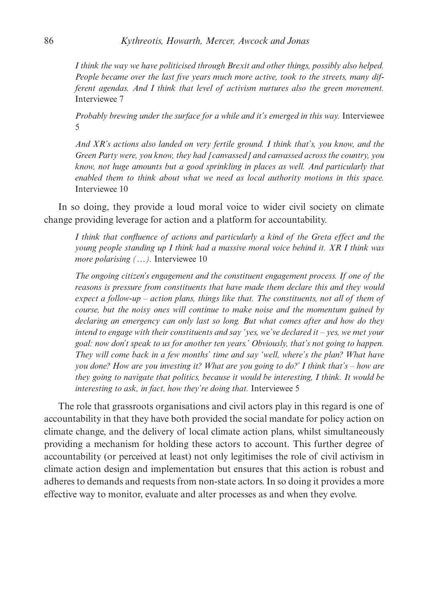*I think the way we have politicised through Brexit and other things, possibly also helped. People became over the last five years much more active, took to the streets, many different agendas. And I think that level of activism nurtures also the green movement.* Interviewee 7

*Probably brewing under the surface for a while and it's emerged in this way.* Interviewee 5

*And XR's actions also landed on very fertile ground. I think that's, you know, and the Green Party were, you know, they had [canvassed] and canvassed across the country, you know, not huge amounts but a good sprinkling in places as well. And particularly that enabled them to think about what we need as local authority motions in this space.* Interviewee 10

In so doing, they provide a loud moral voice to wider civil society on climate change providing leverage for action and a platform for accountability.

*I think that confluence of actions and particularly a kind of the Greta effect and the young people standing up I think had a massive moral voice behind it. XR I think was more polarising (...).* Interviewee 10

*The ongoing citizen's engagement and the constituent engagement process. If one of the reasons is pressure from constituents that have made them declare this and they would expect a follow-up – action plans, things like that. The constituents, not all of them of course, but the noisy ones will continue to make noise and the momentum gained by declaring an emergency can only last so long. But what comes after and how do they intend to engage with their constituents and say 'yes, we've declared it – yes, we met your goal: now don't speak to us for another ten years.' Obviously, that's not going to happen. They will come back in a few months' time and say 'well, where's the plan? What have you done? How are you investing it? What are you going to do?' I think that's – how are they going to navigate that politics, because it would be interesting, I think. It would be interesting to ask, in fact, how they're doing that.* Interviewee 5

The role that grassroots organisations and civil actors play in this regard is one of accountability in that they have both provided the social mandate for policy action on climate change, and the delivery of local climate action plans, whilst simultaneously providing a mechanism for holding these actors to account. This further degree of accountability (or perceived at least) not only legitimises the role of civil activism in climate action design and implementation but ensures that this action is robust and adheres to demands and requests from non-state actors. In so doing it provides a more effective way to monitor, evaluate and alter processes as and when they evolve.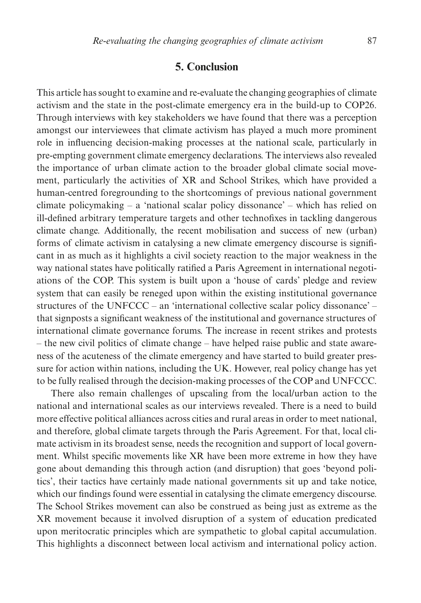## **5. Conclusion**

This article has sought to examine and re-evaluate the changing geographies of climate activism and the state in the post-climate emergency era in the build-up to COP26. Through interviews with key stakeholders we have found that there was a perception amongst our interviewees that climate activism has played a much more prominent role in influencing decision-making processes at the national scale, particularly in pre-empting government climate emergency declarations. The interviews also revealed the importance of urban climate action to the broader global climate social movement, particularly the activities of XR and School Strikes, which have provided a human-centred foregrounding to the shortcomings of previous national government climate policymaking  $-$  a 'national scalar policy dissonance'  $-$  which has relied on ill-defined arbitrary temperature targets and other technofixes in tackling dangerous climate change. Additionally, the recent mobilisation and success of new (urban) forms of climate activism in catalysing a new climate emergency discourse is significant in as much as it highlights a civil society reaction to the major weakness in the way national states have politically ratified a Paris Agreement in international negotiations of the COP. This system is built upon a 'house of cards' pledge and review system that can easily be reneged upon within the existing institutional governance structures of the UNFCCC – an 'international collective scalar policy dissonance' – that signposts a significant weakness of the institutional and governance structures of international climate governance forums. The increase in recent strikes and protests – the new civil politics of climate change – have helped raise public and state awareness of the acuteness of the climate emergency and have started to build greater pressure for action within nations, including the UK. However, real policy change has yet to be fully realised through the decision-making processes of the COP and UNFCCC.

There also remain challenges of upscaling from the local/urban action to the national and international scales as our interviews revealed. There is a need to build more effective political alliances across cities and rural areas in order to meet national, and therefore, global climate targets through the Paris Agreement. For that, local climate activism in its broadest sense, needs the recognition and support of local government. Whilst specific movements like XR have been more extreme in how they have gone about demanding this through action (and disruption) that goes 'beyond politics', their tactics have certainly made national governments sit up and take notice, which our findings found were essential in catalysing the climate emergency discourse. The School Strikes movement can also be construed as being just as extreme as the XR movement because it involved disruption of a system of education predicated upon meritocratic principles which are sympathetic to global capital accumulation. This highlights a disconnect between local activism and international policy action.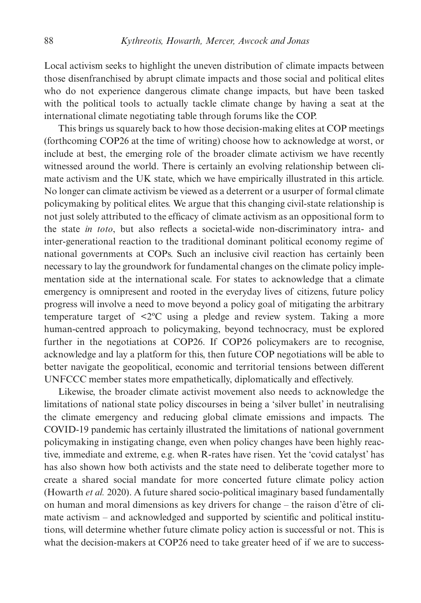Local activism seeks to highlight the uneven distribution of climate impacts between those disenfranchised by abrupt climate impacts and those social and political elites who do not experience dangerous climate change impacts, but have been tasked with the political tools to actually tackle climate change by having a seat at the international climate negotiating table through forums like the COP.

This brings us squarely back to how those decision-making elites at COP meetings (forthcoming COP26 at the time of writing) choose how to acknowledge at worst, or include at best, the emerging role of the broader climate activism we have recently witnessed around the world. There is certainly an evolving relationship between climate activism and the UK state, which we have empirically illustrated in this article. No longer can climate activism be viewed as a deterrent or a usurper of formal climate policymaking by political elites. We argue that this changing civil-state relationship is not just solely attributed to the efficacy of climate activism as an oppositional form to the state *in toto*, but also reflects a societal-wide non-discriminatory intra- and inter-generational reaction to the traditional dominant political economy regime of national governments at COPs. Such an inclusive civil reaction has certainly been necessary to lay the groundwork for fundamental changes on the climate policy implementation side at the international scale. For states to acknowledge that a climate emergency is omnipresent and rooted in the everyday lives of citizens, future policy progress will involve a need to move beyond a policy goal of mitigating the arbitrary temperature target of <2ºC using a pledge and review system. Taking a more human-centred approach to policymaking, beyond technocracy, must be explored further in the negotiations at COP26. If COP26 policymakers are to recognise, acknowledge and lay a platform for this, then future COP negotiations will be able to better navigate the geopolitical, economic and territorial tensions between different UNFCCC member states more empathetically, diplomatically and effectively.

Likewise, the broader climate activist movement also needs to acknowledge the limitations of national state policy discourses in being a 'silver bullet' in neutralising the climate emergency and reducing global climate emissions and impacts. The COVID-19 pandemic has certainly illustrated the limitations of national government policymaking in instigating change, even when policy changes have been highly reactive, immediate and extreme, e.g. when R-rates have risen. Yet the 'covid catalyst' has has also shown how both activists and the state need to deliberate together more to create a shared social mandate for more concerted future climate policy action (Howarth *et al.* 2020). A future shared socio-political imaginary based fundamentally on human and moral dimensions as key drivers for change – the raison d'être of climate activism – and acknowledged and supported by scientific and political institutions, will determine whether future climate policy action is successful or not. This is what the decision-makers at COP26 need to take greater heed of if we are to success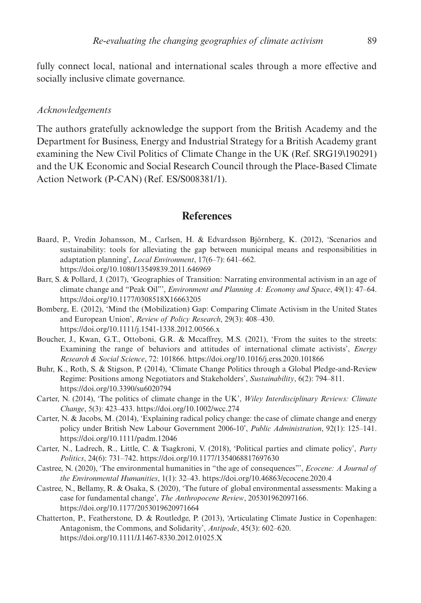fully connect local, national and international scales through a more effective and socially inclusive climate governance.

#### *Acknowledgements*

The authors gratefully acknowledge the support from the British Academy and the Department for Business, Energy and Industrial Strategy for a British Academy grant examining the New Civil Politics of Climate Change in the UK (Ref. SRG19\190291) and the UK Economic and Social Research Council through the Place-Based Climate Action Network (P-CAN) (Ref. ES/S008381/1).

#### **References**

- Baard, P., Vredin Johansson, M., Carlsen, H. & Edvardsson Björnberg, K. (2012), 'Scenarios and sustainability: tools for alleviating the gap between municipal means and responsibilities in adaptation planning', *Local Environment*, 17(6–7): 641–662. https://doi.org/10.1080/13549839.2011.646969
- Barr, S. & Pollard, J. (2017), 'Geographies of Transition: Narrating environmental activism in an age of climate change and "Peak Oil"', *Environment and Planning A: Economy and Space*, 49(1): 47–64. https://doi.org/10.1177/0308518X16663205
- Bomberg, E. (2012), 'Mind the (Mobilization) Gap: Comparing Climate Activism in the United States and European Union', *Review of Policy Research*, 29(3): 408–430. https://doi.org/10.1111/j.1541-1338.2012.00566.x
- Boucher, J., Kwan, G.T., Ottoboni, G.R. & Mccaffrey, M.S. (2021), 'From the suites to the streets: Examining the range of behaviors and attitudes of international climate activists', *Energy Research & Social Science*, 72: 101866. https://doi.org/10.1016/j.erss.2020.101866
- Buhr, K., Roth, S. & Stigson, P. (2014), 'Climate Change Politics through a Global Pledge-and-Review Regime: Positions among Negotiators and Stakeholders', *Sustainability*, 6(2): 794–811. https://doi.org/10.3390/su6020794
- Carter, N. (2014), 'The politics of climate change in the UK', *Wiley Interdisciplinary Reviews: Climate Change*, 5(3): 423–433. https://doi.org/10.1002/wcc.274
- Carter, N. & Jacobs, M. (2014), 'Explaining radical policy change: the case of climate change and energy policy under British New Labour Government 2006-10', *Public Administration*, 92(1): 125–141. https://doi.org/10.1111/padm.12046
- Carter, N., Ladrech, R., Little, C. & Tsagkroni, V. (2018), 'Political parties and climate policy', *Party Politics*, 24(6): 731–742. https://doi.org/10.1177/1354068817697630
- Castree, N. (2020), 'The environmental humanities in "the age of consequences"', *Ecocene: A Journal of the Environmental Humanities*, 1(1): 32–43. https://doi.org/10.46863/ecocene.2020.4
- Castree, N., Bellamy, R. & Osaka, S. (2020), 'The future of global environmental assessments: Making a case for fundamental change', *The Anthropocene Review*, 205301962097166. https://doi.org/10.1177/2053019620971664
- Chatterton, P., Featherstone, D. & Routledge, P. (2013), 'Articulating Climate Justice in Copenhagen: Antagonism, the Commons, and Solidarity', *Antipode*, 45(3): 602–620. https://doi.org/10.1111/J.1467-8330.2012.01025.X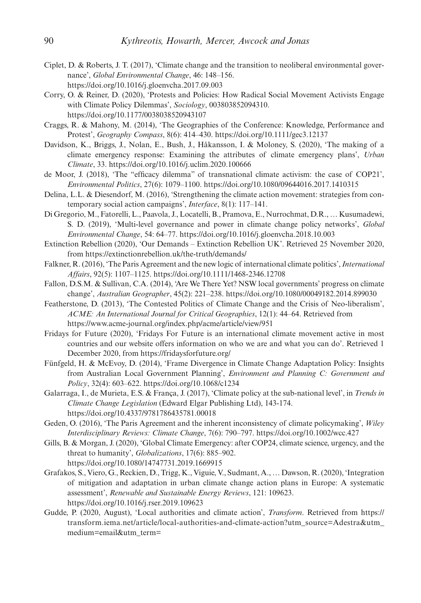- Ciplet, D. & Roberts, J. T. (2017), 'Climate change and the transition to neoliberal environmental governance', *Global Environmental Change*, 46: 148–156. https://doi.org/10.1016/j.gloenvcha.2017.09.003
- Corry, O. & Reiner, D. (2020), 'Protests and Policies: How Radical Social Movement Activists Engage with Climate Policy Dilemmas', *Sociology*, 003803852094310. https://doi.org/10.1177/0038038520943107
- Craggs, R. & Mahony, M. (2014), 'The Geographies of the Conference: Knowledge, Performance and Protest', *Geography Compass*, 8(6): 414–430. https://doi.org/10.1111/gec3.12137
- Davidson, K., Briggs, J., Nolan, E., Bush, J., Håkansson, I. & Moloney, S. (2020), 'The making of a climate emergency response: Examining the attributes of climate emergency plans', *Urban Climate*, 33. https://doi.org/10.1016/j.uclim.2020.100666
- de Moor, J. (2018), 'The "efficacy dilemma" of transnational climate activism: the case of COP21', *Environmental Politics*, 27(6): 1079–1100. https://doi.org/10.1080/09644016.2017.1410315
- Delina, L.L. & Diesendorf, M. (2016), 'Strengthening the climate action movement: strategies from contemporary social action campaigns', *Interface*, 8(1): 117–141.
- Di Gregorio, M., Fatorelli, L., Paavola, J., Locatelli, B., Pramova, E., Nurrochmat, D.R., … Kusumadewi, S. D. (2019), 'Multi-level governance and power in climate change policy networks', *Global Environmental Change*, 54: 64–77. https://doi.org/10.1016/j.gloenvcha.2018.10.003
- Extinction Rebellion (2020), 'Our Demands Extinction Rebellion UK'. Retrieved 25 November 2020, from https://extinctionrebellion.uk/the-truth/demands/
- Falkner, R. (2016), 'The Paris Agreement and the new logic of international climate politics', *International Affairs*, 92(5): 1107–1125. https://doi.org/10.1111/1468-2346.12708
- Fallon, D.S.M. & Sullivan, C.A. (2014), 'Are We There Yet? NSW local governments' progress on climate change', *Australian Geographer*, 45(2): 221–238. https://doi.org/10.1080/00049182.2014.899030
- Featherstone, D. (2013), 'The Contested Politics of Climate Change and the Crisis of Neo-liberalism', *ACME: An International Journal for Critical Geographies*, 12(1): 44–64. Retrieved from https://www.acme-journal.org/index.php/acme/article/view/951
- Fridays for Future (2020), 'Fridays For Future is an international climate movement active in most countries and our website offers information on who we are and what you can do'. Retrieved 1 December 2020, from https://fridaysforfuture.org/
- Fünfgeld, H. & McEvoy, D. (2014), 'Frame Divergence in Climate Change Adaptation Policy: Insights from Australian Local Government Planning', *Environment and Planning C: Government and Policy*, 32(4): 603–622. https://doi.org/10.1068/c1234
- Galarraga, I., de Murieta, E.S. & França, J. (2017), 'Climate policy at the sub-national level', in *Trends in Climate Change Legislation* (Edward Elgar Publishing Ltd), 143-174. https://doi.org/10.4337/9781786435781.00018
- Geden, O. (2016), 'The Paris Agreement and the inherent inconsistency of climate policymaking', *Wiley Interdisciplinary Reviews: Climate Change*, 7(6): 790–797. https://doi.org/10.1002/wcc.427
- Gills, B. & Morgan, J. (2020), 'Global Climate Emergency: after COP24, climate science, urgency, and the threat to humanity', *Globalizations*, 17(6): 885–902. https://doi.org/10.1080/14747731.2019.1669915
- Grafakos, S., Viero, G., Reckien, D., Trigg, K., Viguie, V., Sudmant, A., … Dawson, R. (2020), 'Integration of mitigation and adaptation in urban climate change action plans in Europe: A systematic assessment', *Renewable and Sustainable Energy Reviews*, 121: 109623. https://doi.org/10.1016/j.rser.2019.109623
- Gudde, P. (2020, August), 'Local authorities and climate action', *Transform*. Retrieved from https:// transform.iema.net/article/local-authorities-and-climate-action?utm\_source=Adestra&utm\_ medium=email&utm\_term=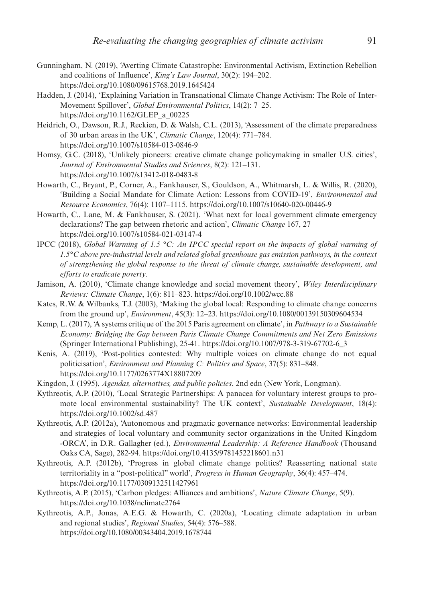- Gunningham, N. (2019), 'Averting Climate Catastrophe: Environmental Activism, Extinction Rebellion and coalitions of Influence', *King's Law Journal*, 30(2): 194–202. https://doi.org/10.1080/09615768.2019.1645424
- Hadden, J. (2014), 'Explaining Variation in Transnational Climate Change Activism: The Role of Inter-Movement Spillover', *Global Environmental Politics*, 14(2): 7–25. https://doi.org/10.1162/GLEP\_a\_00225
- Heidrich, O., Dawson, R.J., Reckien, D. & Walsh, C.L. (2013), 'Assessment of the climate preparedness of 30 urban areas in the UK', *Climatic Change*, 120(4): 771–784. https://doi.org/10.1007/s10584-013-0846-9
- Homsy, G.C. (2018), 'Unlikely pioneers: creative climate change policymaking in smaller U.S. cities', *Journal of Environmental Studies and Sciences*, 8(2): 121–131. https://doi.org/10.1007/s13412-018-0483-8
- Howarth, C., Bryant, P., Corner, A., Fankhauser, S., Gouldson, A., Whitmarsh, L. & Willis, R. (2020), 'Building a Social Mandate for Climate Action: Lessons from COVID-19', *Environmental and Resource Economics*, 76(4): 1107–1115. https://doi.org/10.1007/s10640-020-00446-9
- Howarth, C., Lane, M. & Fankhauser, S. (2021). 'What next for local government climate emergency declarations? The gap between rhetoric and action', *Climatic Change* 167, 27 https://doi.org/10.1007/s10584-021-03147-4
- IPCC (2018), *Global Warming of 1.5 °C: An IPCC special report on the impacts of global warming of 1.5°C above pre-industrial levels and related global greenhouse gas emission pathways, in the context of strengthening the global response to the threat of climate change, sustainable development, and efforts to eradicate poverty*.
- Jamison, A. (2010), 'Climate change knowledge and social movement theory', *Wiley Interdisciplinary Reviews: Climate Change*, 1(6): 811–823. https://doi.org/10.1002/wcc.88
- Kates, R.W. & Wilbanks, T.J. (2003), 'Making the global local: Responding to climate change concerns from the ground up', *Environment*, 45(3): 12–23. https://doi.org/10.1080/00139150309604534
- Kemp, L. (2017), 'A systems critique of the 2015 Paris agreement on climate', in *Pathways to a Sustainable Economy: Bridging the Gap between Paris Climate Change Commitments and Net Zero Emissions* (Springer International Publishing), 25-41. https://doi.org/10.1007/978-3-319-67702-6\_3
- Kenis, A. (2019), 'Post-politics contested: Why multiple voices on climate change do not equal politicisation', *Environment and Planning C: Politics and Space*, 37(5): 831–848. https://doi.org/10.1177/0263774X18807209
- Kingdon, J. (1995), *Agendas, alternatives, and public policies*, 2nd edn (New York, Longman).
- Kythreotis, A.P. (2010), 'Local Strategic Partnerships: A panacea for voluntary interest groups to promote local environmental sustainability? The UK context', *Sustainable Development*, 18(4): https://doi.org/10.1002/sd.487
- Kythreotis, A.P. (2012a), 'Autonomous and pragmatic governance networks: Environmental leadership and strategies of local voluntary and community sector organizations in the United Kingdom -ORCA', in D.R. Gallagher (ed.), *Environmental Leadership: A Reference Handbook* (Thousand Oaks CA, Sage), 282-94. https://doi.org/10.4135/9781452218601.n31
- Kythreotis, A.P. (2012b), 'Progress in global climate change politics? Reasserting national state territoriality in a "post-political" world', *Progress in Human Geography*, 36(4): 457–474. https://doi.org/10.1177/0309132511427961
- Kythreotis, A.P. (2015), 'Carbon pledges: Alliances and ambitions', *Nature Climate Change*, 5(9). https://doi.org/10.1038/nclimate2764
- Kythreotis, A.P., Jonas, A.E.G. & Howarth, C. (2020a), 'Locating climate adaptation in urban and regional studies', *Regional Studies*, 54(4): 576–588. https://doi.org/10.1080/00343404.2019.1678744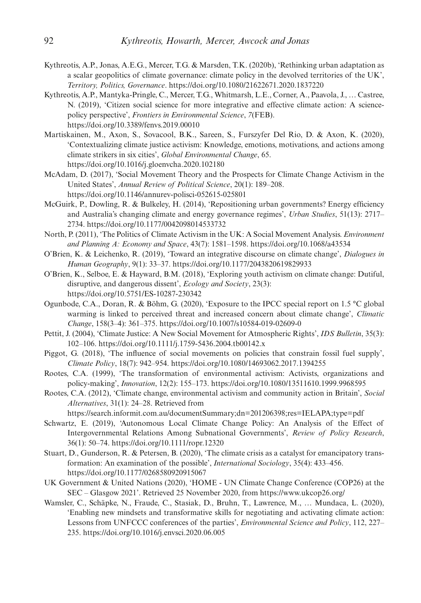- Kythreotis, A.P., Jonas, A.E.G., Mercer, T.G. & Marsden, T.K. (2020b), 'Rethinking urban adaptation as a scalar geopolitics of climate governance: climate policy in the devolved territories of the UK', *Territory, Politics, Governance*. https://doi.org/10.1080/21622671.2020.1837220
- Kythreotis, A.P., Mantyka-Pringle, C., Mercer, T.G., Whitmarsh, L.E., Corner, A., Paavola, J., … Castree, N. (2019), 'Citizen social science for more integrative and effective climate action: A sciencepolicy perspective', *Frontiers in Environmental Science*, *7*(FEB). https://doi.org/10.3389/fenvs.2019.00010
- Martiskainen, M., Axon, S., Sovacool, B.K., Sareen, S., Furszyfer Del Rio, D. & Axon, K. (2020), 'Contextualizing climate justice activism: Knowledge, emotions, motivations, and actions among climate strikers in six cities', *Global Environmental Change*, 65. https://doi.org/10.1016/j.gloenvcha.2020.102180
- McAdam, D. (2017), 'Social Movement Theory and the Prospects for Climate Change Activism in the United States', *Annual Review of Political Science*, 20(1): 189–208. https://doi.org/10.1146/annurev-polisci-052615-025801
- McGuirk, P., Dowling, R. & Bulkeley, H. (2014), 'Repositioning urban governments? Energy efficiency and Australia's changing climate and energy governance regimes', *Urban Studies*, 51(13): 2717– 2734. https://doi.org/10.1177/0042098014533732
- North, P. (2011), 'The Politics of Climate Activism in the UK: A Social Movement Analysis. *Environment and Planning A: Economy and Space*, 43(7): 1581–1598. https://doi.org/10.1068/a43534
- O'Brien, K. & Leichenko, R. (2019), 'Toward an integrative discourse on climate change', *Dialogues in Human Geography*, 9(1): 33–37. https://doi.org/10.1177/2043820619829933
- O'Brien, K., Selboe, E. & Hayward, B.M. (2018), 'Exploring youth activism on climate change: Dutiful, disruptive, and dangerous dissent', *Ecology and Society*, 23(3): https://doi.org/10.5751/ES-10287-230342
- Ogunbode, C.A., Doran, R. & Böhm, G. (2020), 'Exposure to the IPCC special report on 1.5 °C global warming is linked to perceived threat and increased concern about climate change', *Climatic Change*, 158(3–4): 361–375. https://doi.org/10.1007/s10584-019-02609-0
- Pettit, J. (2004), 'Climate Justice: A New Social Movement for Atmospheric Rights', *IDS Bulletin*, 35(3): 102–106. https://doi.org/10.1111/j.1759-5436.2004.tb00142.x
- Piggot, G. (2018), 'The influence of social movements on policies that constrain fossil fuel supply', *Climate Policy*, 18(7): 942–954. https://doi.org/10.1080/14693062.2017.1394255
- Rootes, C.A. (1999), 'The transformation of environmental activism: Activists, organizations and policy-making', *Innovation*, 12(2): 155–173. https://doi.org/10.1080/13511610.1999.9968595
- Rootes, C.A. (2012), 'Climate change, environmental activism and community action in Britain', *Social Alternatives*, 31(1): 24–28. Retrieved from
	- https://search.informit.com.au/documentSummary;dn=201206398;res=IELAPA;type=pdf
- Schwartz, E. (2019), 'Autonomous Local Climate Change Policy: An Analysis of the Effect of Intergovernmental Relations Among Subnational Governments', *Review of Policy Research*, 36(1): 50–74. https://doi.org/10.1111/ropr.12320
- Stuart, D., Gunderson, R. & Petersen, B. (2020), 'The climate crisis as a catalyst for emancipatory transformation: An examination of the possible', *International Sociology*, 35(4): 433–456. https://doi.org/10.1177/0268580920915067
- UK Government & United Nations (2020), 'HOME UN Climate Change Conference (COP26) at the SEC – Glasgow 2021'. Retrieved 25 November 2020, from https://www.ukcop26.org/
- Wamsler, C., Schäpke, N., Fraude, C., Stasiak, D., Bruhn, T., Lawrence, M., … Mundaca, L. (2020), 'Enabling new mindsets and transformative skills for negotiating and activating climate action: Lessons from UNFCCC conferences of the parties', *Environmental Science and Policy*, 112, 227– 235. https://doi.org/10.1016/j.envsci.2020.06.005